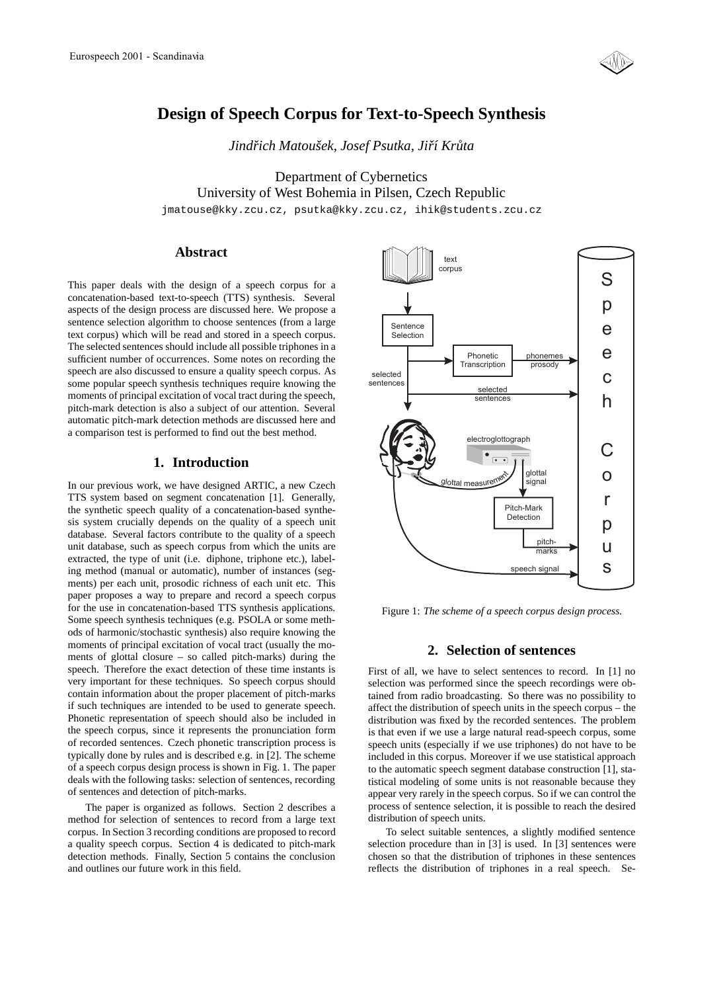

# **Design of Speech Corpus for Text-to-Speech Synthesis**

*Jindrich Matouˇ ˇ sek, Josef Psutka, Jirˇ´ı Kruta ˚*

Department of Cybernetics University of West Bohemia in Pilsen, Czech Republic jmatouse@kky.zcu.cz, psutka@kky.zcu.cz, ihik@students.zcu.cz

## **Abstract**

This paper deals with the design of a speech corpus for a concatenation-based text-to-speech (TTS) synthesis. Several aspects of the design process are discussed here. We propose a sentence selection algorithm to choose sentences (from a large text corpus) which will be read and stored in a speech corpus. The selected sentences should include all possible triphones in a sufficient number of occurrences. Some notes on recording the speech are also discussed to ensure a quality speech corpus. As some popular speech synthesis techniques require knowing the moments of principal excitation of vocal tract during the speech, pitch-mark detection is also a subject of our attention. Several automatic pitch-mark detection methods are discussed here and a comparison test is performed to find out the best method.

## **1. Introduction**

In our previous work, we have designed ARTIC, a new Czech TTS system based on segment concatenation [1]. Generally, the synthetic speech quality of a concatenation-based synthesis system crucially depends on the quality of a speech unit database. Several factors contribute to the quality of a speech unit database, such as speech corpus from which the units are extracted, the type of unit (i.e. diphone, triphone etc.), labeling method (manual or automatic), number of instances (segments) per each unit, prosodic richness of each unit etc. This paper proposes a way to prepare and record a speech corpus for the use in concatenation-based TTS synthesis applications. Some speech synthesis techniques (e.g. PSOLA or some methods of harmonic/stochastic synthesis) also require knowing the moments of principal excitation of vocal tract (usually the moments of glottal closure – so called pitch-marks) during the speech. Therefore the exact detection of these time instants is very important for these techniques. So speech corpus should contain information about the proper placement of pitch-marks if such techniques are intended to be used to generate speech. Phonetic representation of speech should also be included in the speech corpus, since it represents the pronunciation form of recorded sentences. Czech phonetic transcription process is typically done by rules and is described e.g. in [2]. The scheme of a speech corpus design process is shown in Fig. 1. The paper deals with the following tasks: selection of sentences, recording of sentences and detection of pitch-marks.

The paper is organized as follows. Section 2 describes a method for selection of sentences to record from a large text corpus. In Section 3 recording conditions are proposed to record a quality speech corpus. Section 4 is dedicated to pitch-mark detection methods. Finally, Section 5 contains the conclusion and outlines our future work in this field.



Figure 1: *The scheme of a speech corpus design process.*

## **2. Selection of sentences**

First of all, we have to select sentences to record. In [1] no selection was performed since the speech recordings were obtained from radio broadcasting. So there was no possibility to affect the distribution of speech units in the speech corpus – the distribution was fixed by the recorded sentences. The problem is that even if we use a large natural read-speech corpus, some speech units (especially if we use triphones) do not have to be included in this corpus. Moreover if we use statistical approach to the automatic speech segment database construction [1], statistical modeling of some units is not reasonable because they appear very rarely in the speech corpus. So if we can control the process of sentence selection, it is possible to reach the desired distribution of speech units.

To select suitable sentences, a slightly modified sentence selection procedure than in [3] is used. In [3] sentences were chosen so that the distribution of triphones in these sentences reflects the distribution of triphones in a real speech. Se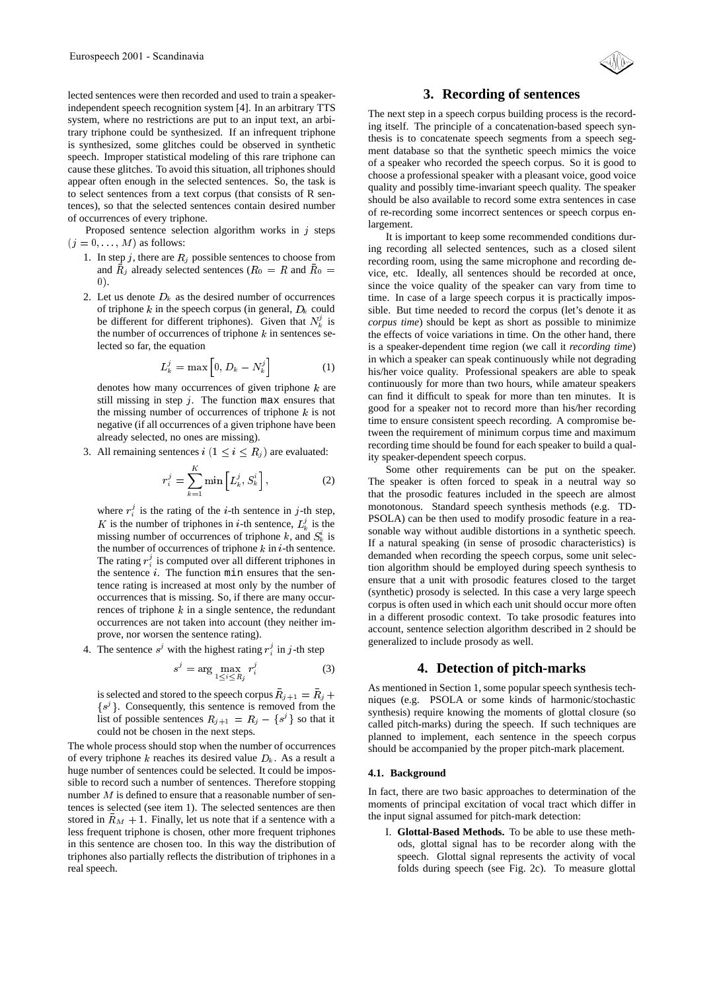lected sentences were then recorded and used to train a speakerindependent speech recognition system [4]. In an arbitrary TTS system, where no restrictions are put to an input text, an arbitrary triphone could be synthesized. If an infrequent triphone is synthesized, some glitches could be observed in synthetic speech. Improper statistical modeling of this rare triphone can cause these glitches. To avoid this situation, all triphones should appear often enough in the selected sentences. So, the task is to select sentences from a text corpus (that consists of R sentences), so that the selected sentences contain desired number of occurrences of every triphone.

Proposed sentence selection algorithm works in  $j$  steps  $(j = 0, \ldots, M)$  as follows:

- 1. In step j, there are  $R_i$  possible sentences to choose from and  $R_j$  already selected sentences ( $R_0 = R$  and  $R_0 =$ 0).
- 2. Let us denote  $D_k$  as the desired number of occurrences of triphone k in the speech corpus (in general,  $D_k$  could be different for different triphones). Given that  $N_k^j$  is the number of occurrences of triphone  $k$  in sentences selected so far, the equation

$$
L_k^j = \max\left[0, D_k - N_k^j\right] \tag{1}
$$

denotes how many occurrences of given triphone  $k$  are still missing in step  $i$ . The function max ensures that the missing number of occurrences of triphone  $k$  is not negative (if all occurrences of a given triphone have been already selected, no ones are missing).

3. All remaining sentences  $i (1 \le i \le R_i)$  are evaluated:

$$
r_i^j = \sum_{k=1}^K \min\left[L_k^j, S_k^i\right],\tag{2}
$$

where  $r_i^j$  is the rating of the *i*-th sentence in *j*-th step, K is the number of triphones in *i*-th sentence,  $L_k^j$  is the missing number of occurrences of triphone k, and  $S_k^i$  is the number of occurrences of triphone  $k$  in  $i$ -th sentence. The rating  $r_i^j$  is computed over all different triphones in the sentence  $i$ . The function min ensures that the sentence rating is increased at most only by the number of occurrences that is missing. So, if there are many occurrences of triphone  $k$  in a single sentence, the redundant occurrences are not taken into account (they neither improve, nor worsen the sentence rating).

4. The sentence  $s^j$  with the highest rating  $r_i^j$  in j-th step

$$
s^{j} = \arg\max_{1 \leq i \leq R_{j}} r_{i}^{j} \tag{3}
$$

is selected and stored to the speech corpus  $R_{i+1} = R_i + \cdots$  $\{s^j\}$ . Consequently, this sentence is removed from the list of possible sentences  $R_{j+1} = R_j - \{s^j\}$  so that it could not be chosen in the next steps.

The whole process should stop when the number of occurrences of every triphone k reaches its desired value  $D_k$ . As a result a huge number of sentences could be selected. It could be impossible to record such a number of sentences. Therefore stopping number  $M$  is defined to ensure that a reasonable number of sentences is selected (see item 1). The selected sentences are then stored in  $\bar{R}_M + 1$ . Finally, let us note that if a sentence with a less frequent triphone is chosen, other more frequent triphones in this sentence are chosen too. In this way the distribution of triphones also partially reflects the distribution of triphones in a real speech.

## **3. Recording of sentences**

The next step in a speech corpus building process is the recording itself. The principle of a concatenation-based speech synthesis is to concatenate speech segments from a speech segment database so that the synthetic speech mimics the voice of a speaker who recorded the speech corpus. So it is good to choose a professional speaker with a pleasant voice, good voice quality and possibly time-invariant speech quality. The speaker should be also available to record some extra sentences in case of re-recording some incorrect sentences or speech corpus enlargement.

 $\alpha$  = vice, etc. Ideally, all sentences should be recorded at once, It is important to keep some recommended conditions during recording all selected sentences, such as a closed silent recording room, using the same microphone and recording desince the voice quality of the speaker can vary from time to time. In case of a large speech corpus it is practically impossible. But time needed to record the corpus (let's denote it as *corpus time*) should be kept as short as possible to minimize the effects of voice variations in time. On the other hand, there is a speaker-dependent time region (we call it *recording time*) in which a speaker can speak continuously while not degrading his/her voice quality. Professional speakers are able to speak continuously for more than two hours, while amateur speakers can find it difficult to speak for more than ten minutes. It is good for a speaker not to record more than his/her recording time to ensure consistent speech recording. A compromise between the requirement of minimum corpus time and maximum recording time should be found for each speaker to build a quality speaker-dependent speech corpus.

> Some other requirements can be put on the speaker. The speaker is often forced to speak in a neutral way so that the prosodic features included in the speech are almost monotonous. Standard speech synthesis methods (e.g. TD-PSOLA) can be then used to modify prosodic feature in a reasonable way without audible distortions in a synthetic speech. If a natural speaking (in sense of prosodic characteristics) is demanded when recording the speech corpus, some unit selection algorithm should be employed during speech synthesis to ensure that a unit with prosodic features closed to the target (synthetic) prosody is selected. In this case a very large speech corpus is often used in which each unit should occur more often in a different prosodic context. To take prosodic features into account, sentence selection algorithm described in 2 should be generalized to include prosody as well.

## **4. Detection of pitch-marks**

 $j^{\dagger}$  niques (e.g. PSOLA or some kinds of harmonic/stochastic As mentioned in Section 1, some popular speech synthesis techsynthesis) require knowing the moments of glottal closure (so called pitch-marks) during the speech. If such techniques are planned to implement, each sentence in the speech corpus should be accompanied by the proper pitch-mark placement.

#### **4.1. Background**

In fact, there are two basic approaches to determination of the moments of principal excitation of vocal tract which differ in the input signal assumed for pitch-mark detection:

I. **Glottal-Based Methods.** To be able to use these methods, glottal signal has to be recorder along with the speech. Glottal signal represents the activity of vocal folds during speech (see Fig. 2c). To measure glottal

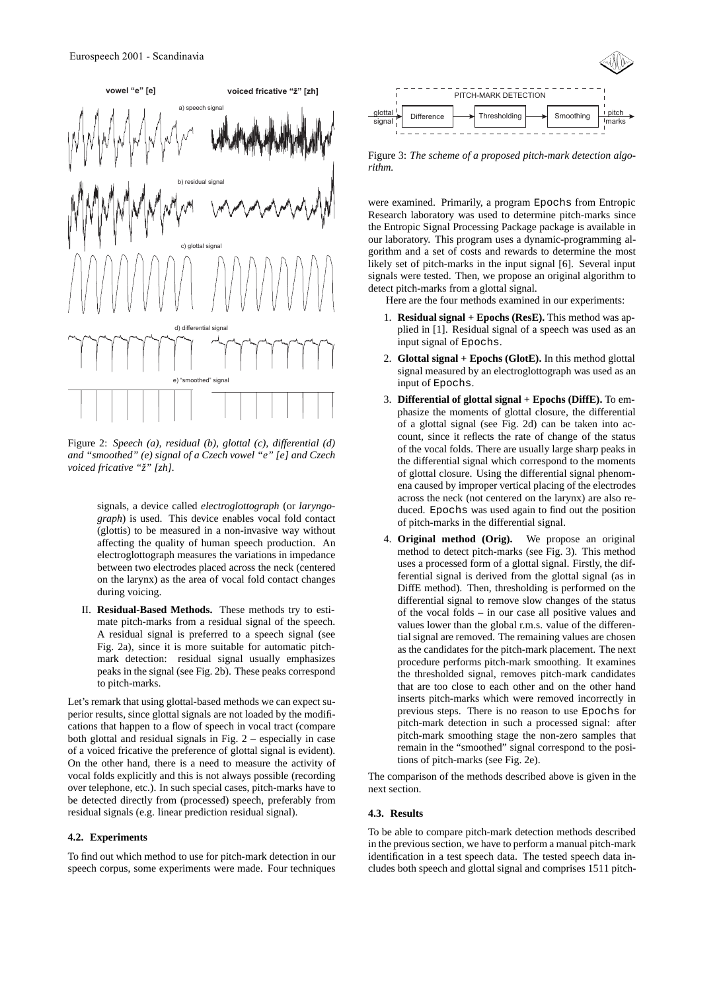

Figure 2: *Speech (a), residual (b), glottal (c), differential (d) and "smoothed" (e) signal of a Czech vowel "e" [e] and Czech voiced fricative "ˇz" [zh].*

signals, a device called *electroglottograph* (or *laryngograph*) is used. This device enables vocal fold contact (glottis) to be measured in a non-invasive way without affecting the quality of human speech production. An electroglottograph measures the variations in impedance between two electrodes placed across the neck (centered on the larynx) as the area of vocal fold contact changes during voicing.

II. **Residual-Based Methods.** These methods try to estimate pitch-marks from a residual signal of the speech. A residual signal is preferred to a speech signal (see Fig. 2a), since it is more suitable for automatic pitchmark detection: residual signal usually emphasizes peaks in the signal (see Fig. 2b). These peaks correspond to pitch-marks.

Let's remark that using glottal-based methods we can expect superior results, since glottal signals are not loaded by the modifications that happen to a flow of speech in vocal tract (compare both glottal and residual signals in Fig. 2 – especially in case of a voiced fricative the preference of glottal signal is evident). On the other hand, there is a need to measure the activity of vocal folds explicitly and this is not always possible (recording over telephone, etc.). In such special cases, pitch-marks have to be detected directly from (processed) speech, preferably from residual signals (e.g. linear prediction residual signal).

#### **4.2. Experiments**

To find out which method to use for pitch-mark detection in our speech corpus, some experiments were made. Four techniques



Figure 3: *The scheme of a proposed pitch-mark detection algorithm.*

were examined. Primarily, a program Epochs from Entropic Research laboratory was used to determine pitch-marks since the Entropic Signal Processing Package package is available in our laboratory. This program uses a dynamic-programming algorithm and a set of costs and rewards to determine the most likely set of pitch-marks in the input signal [6]. Several input signals were tested. Then, we propose an original algorithm to detect pitch-marks from a glottal signal.

Here are the four methods examined in our experiments:

- 1. **Residual signal + Epochs (ResE).** This method was applied in [1]. Residual signal of a speech was used as an input signal of Epochs.
- 2. **Glottal signal + Epochs (GlotE).** In this method glottal signal measured by an electroglottograph was used as an input of Epochs.
- 3. **Differential of glottal signal + Epochs (DiffE).** To emphasize the moments of glottal closure, the differential of a glottal signal (see Fig. 2d) can be taken into account, since it reflects the rate of change of the status of the vocal folds. There are usually large sharp peaks in the differential signal which correspond to the moments of glottal closure. Using the differential signal phenomena caused by improper vertical placing of the electrodes across the neck (not centered on the larynx) are also reduced. Epochs was used again to find out the position of pitch-marks in the differential signal.
- 4. **Original method (Orig).** We propose an original method to detect pitch-marks (see Fig. 3). This method uses a processed form of a glottal signal. Firstly, the differential signal is derived from the glottal signal (as in DiffE method). Then, thresholding is performed on the differential signal to remove slow changes of the status of the vocal folds – in our case all positive values and values lower than the global r.m.s. value of the differential signal are removed. The remaining values are chosen as the candidates for the pitch-mark placement. The next procedure performs pitch-mark smoothing. It examines the thresholded signal, removes pitch-mark candidates that are too close to each other and on the other hand inserts pitch-marks which were removed incorrectly in previous steps. There is no reason to use Epochs for pitch-mark detection in such a processed signal: after pitch-mark smoothing stage the non-zero samples that remain in the "smoothed" signal correspond to the positions of pitch-marks (see Fig. 2e).

The comparison of the methods described above is given in the next section.

## **4.3. Results**

To be able to compare pitch-mark detection methods described in the previous section, we have to perform a manual pitch-mark identification in a test speech data. The tested speech data includes both speech and glottal signal and comprises 1511 pitch